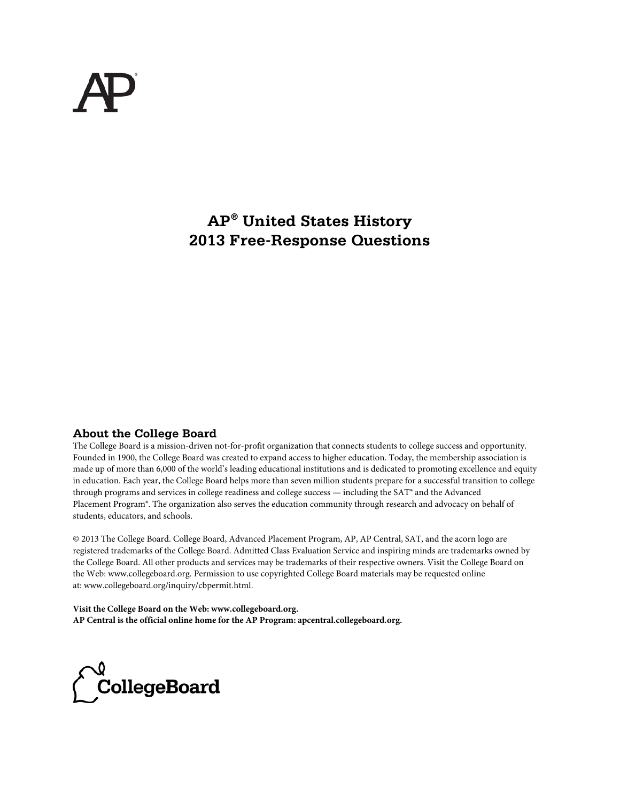# **AP® United States History 2013 Free-Response Questions**

## **About the College Board**

The College Board is a mission-driven not-for-profit organization that connects students to college success and opportunity. Founded in 1900, the College Board was created to expand access to higher education. Today, the membership association is made up of more than 6,000 of the world's leading educational institutions and is dedicated to promoting excellence and equity in education. Each year, the College Board helps more than seven million students prepare for a successful transition to college through programs and services in college readiness and college success — including the SAT® and the Advanced Placement Program®. The organization also serves the education community through research and advocacy on behalf of students, educators, and schools.

© 2013 The College Board. College Board, Advanced Placement Program, AP, AP Central, SAT, and the acorn logo are registered trademarks of the College Board. Admitted Class Evaluation Service and inspiring minds are trademarks owned by the College Board. All other products and services may be trademarks of their respective owners. Visit the College Board on the Web: www.collegeboard.org. Permission to use copyrighted College Board materials may be requested online at: www.collegeboard.org/inquiry/cbpermit.html.

**Visit the College Board on the Web: www.collegeboard.org. AP Central is the official online home for the AP Program: apcentral.collegeboard.org.**

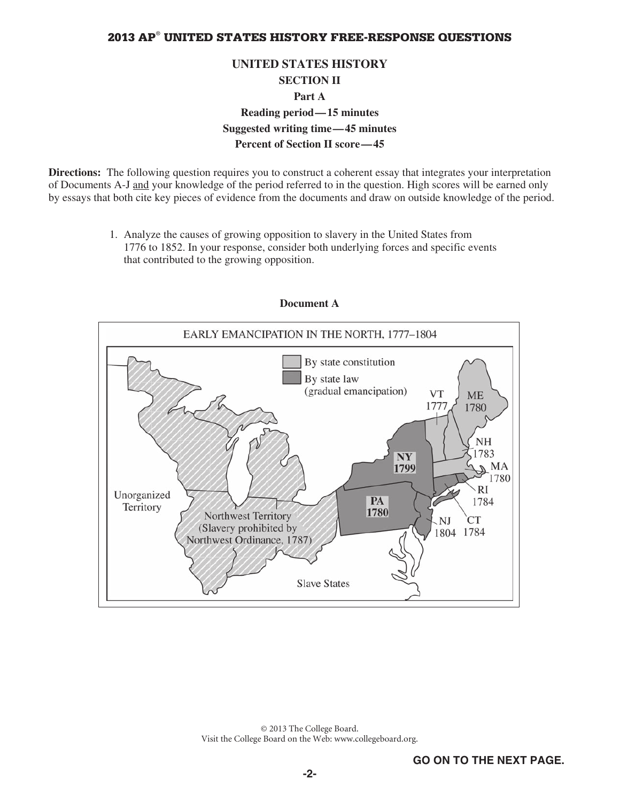## **UNITED STATES HISTORY SECTION II Part A Reading period—15 minutes Suggested writing time—45 minutes Percent of Section II score—45**

**Directions:** The following question requires you to construct a coherent essay that integrates your interpretation of Documents A-J and your knowledge of the period referred to in the question. High scores will be earned only by essays that both cite key pieces of evidence from the documents and draw on outside knowledge of the period.

> 1. Analyze the causes of growing opposition to slavery in the United States from 1776 to 1852. In your response, consider both underlying forces and specific events that contributed to the growing opposition.



## **Document A**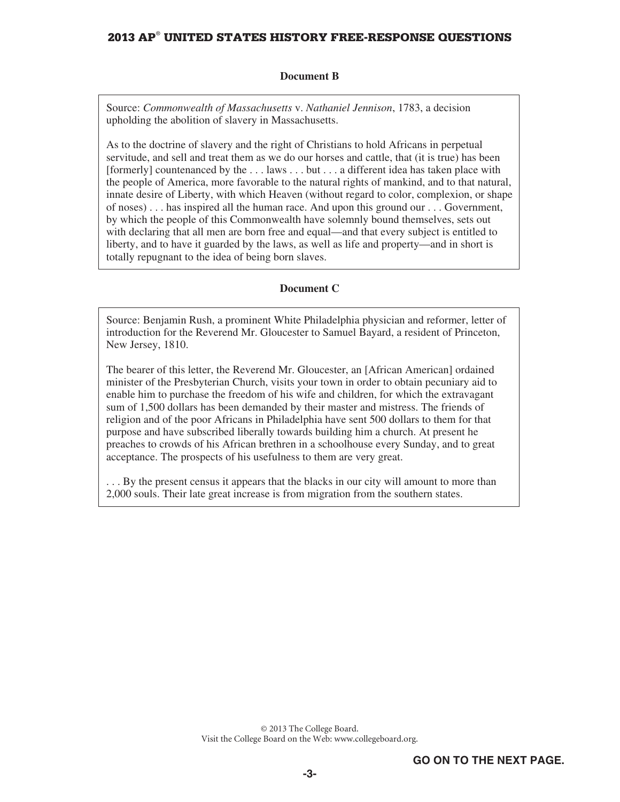#### **Document B**

Source: *Commonwealth of Massachusetts* v. *Nathaniel Jennison*, 1783, a decision upholding the abolition of slavery in Massachusetts.

As to the doctrine of slavery and the right of Christians to hold Africans in perpetual servitude, and sell and treat them as we do our horses and cattle, that (it is true) has been [formerly] countenanced by the . . . laws . . . but . . . a different idea has taken place with the people of America, more favorable to the natural rights of mankind, and to that natural, innate desire of Liberty, with which Heaven (without regard to color, complexion, or shape of noses) . . . has inspired all the human race. And upon this ground our . . . Government, by which the people of this Commonwealth have solemnly bound themselves, sets out with declaring that all men are born free and equal—and that every subject is entitled to liberty, and to have it guarded by the laws, as well as life and property—and in short is totally repugnant to the idea of being born slaves.

#### **Document C**

Source: Benjamin Rush, a prominent White Philadelphia physician and reformer, letter of introduction for the Reverend Mr. Gloucester to Samuel Bayard, a resident of Princeton, New Jersey, 1810.

The bearer of this letter, the Reverend Mr. Gloucester, an [African American] ordained minister of the Presbyterian Church, visits your town in order to obtain pecuniary aid to enable him to purchase the freedom of his wife and children, for which the extravagant sum of 1,500 dollars has been demanded by their master and mistress. The friends of religion and of the poor Africans in Philadelphia have sent 500 dollars to them for that purpose and have subscribed liberally towards building him a church. At present he preaches to crowds of his African brethren in a schoolhouse every Sunday, and to great acceptance. The prospects of his usefulness to them are very great.

. . . By the present census it appears that the blacks in our city will amount to more than 2,000 souls. Their late great increase is from migration from the southern states.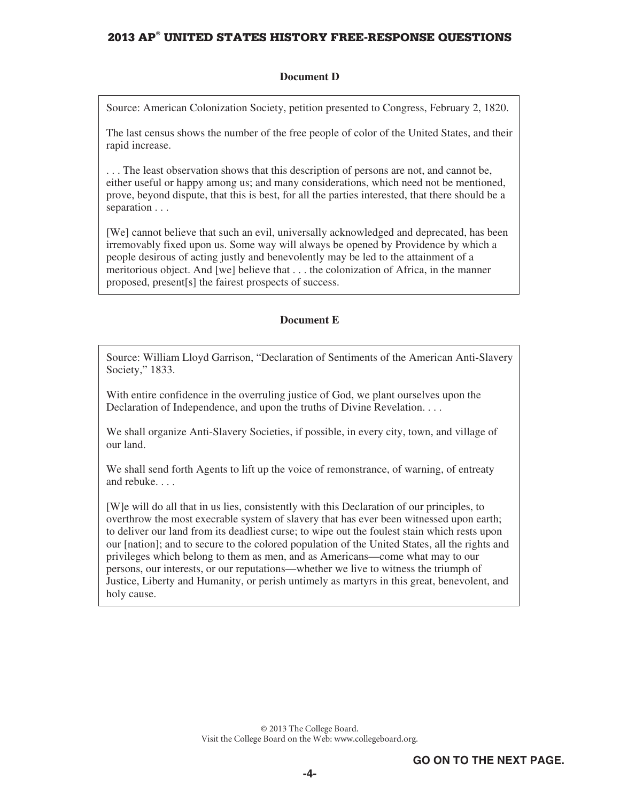#### **Document D**

Source: American Colonization Society, petition presented to Congress, February 2, 1820.

The last census shows the number of the free people of color of the United States, and their rapid increase.

. . . The least observation shows that this description of persons are not, and cannot be, either useful or happy among us; and many considerations, which need not be mentioned, prove, beyond dispute, that this is best, for all the parties interested, that there should be a separation . . .

[We] cannot believe that such an evil, universally acknowledged and deprecated, has been irremovably fixed upon us. Some way will always be opened by Providence by which a people desirous of acting justly and benevolently may be led to the attainment of a meritorious object. And [we] believe that . . . the colonization of Africa, in the manner proposed, present[s] the fairest prospects of success.

#### **Document E**

Source: William Lloyd Garrison, "Declaration of Sentiments of the American Anti-Slavery Society," 1833.

With entire confidence in the overruling justice of God, we plant ourselves upon the Declaration of Independence, and upon the truths of Divine Revelation. . . .

We shall organize Anti-Slavery Societies, if possible, in every city, town, and village of our land.

We shall send forth Agents to lift up the voice of remonstrance, of warning, of entreaty and rebuke. . . .

[W]e will do all that in us lies, consistently with this Declaration of our principles, to overthrow the most execrable system of slavery that has ever been witnessed upon earth; to deliver our land from its deadliest curse; to wipe out the foulest stain which rests upon our [nation]; and to secure to the colored population of the United States, all the rights and privileges which belong to them as men, and as Americans—come what may to our persons, our interests, or our reputations—whether we live to witness the triumph of Justice, Liberty and Humanity, or perish untimely as martyrs in this great, benevolent, and holy cause.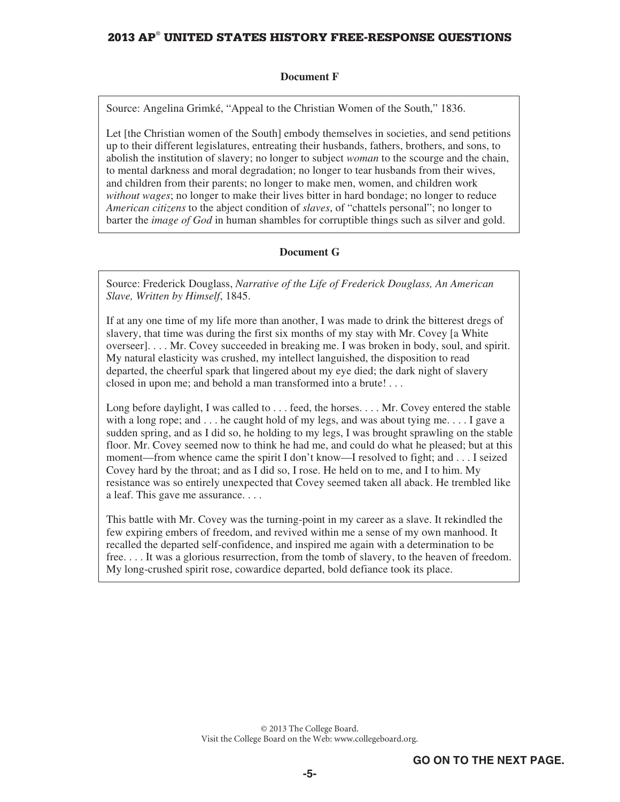#### **Document F**

Source: Angelina Grimké, "Appeal to the Christian Women of the South," 1836.

Let [the Christian women of the South] embody themselves in societies, and send petitions up to their different legislatures, entreating their husbands, fathers, brothers, and sons, to abolish the institution of slavery; no longer to subject *woman* to the scourge and the chain, to mental darkness and moral degradation; no longer to tear husbands from their wives, and children from their parents; no longer to make men, women, and children work *without wages*; no longer to make their lives bitter in hard bondage; no longer to reduce *American citizens* to the abject condition of *slaves*, of "chattels personal"; no longer to barter the *image of God* in human shambles for corruptible things such as silver and gold.

#### **Document G**

Source: Frederick Douglass, *Narrative of the Life of Frederick Douglass, An American Slave, Written by Himself*, 1845.

If at any one time of my life more than another, I was made to drink the bitterest dregs of slavery, that time was during the first six months of my stay with Mr. Covey [a White overseer]. . . . Mr. Covey succeeded in breaking me. I was broken in body, soul, and spirit. My natural elasticity was crushed, my intellect languished, the disposition to read departed, the cheerful spark that lingered about my eye died; the dark night of slavery closed in upon me; and behold a man transformed into a brute! . . .

Long before daylight, I was called to . . . feed, the horses. . . . Mr. Covey entered the stable with a long rope; and . . . he caught hold of my legs, and was about tying me. . . . I gave a sudden spring, and as I did so, he holding to my legs, I was brought sprawling on the stable floor. Mr. Covey seemed now to think he had me, and could do what he pleased; but at this moment—from whence came the spirit I don't know—I resolved to fight; and . . . I seized Covey hard by the throat; and as I did so, I rose. He held on to me, and I to him. My resistance was so entirely unexpected that Covey seemed taken all aback. He trembled like a leaf. This gave me assurance. . . .

This battle with Mr. Covey was the turning-point in my career as a slave. It rekindled the few expiring embers of freedom, and revived within me a sense of my own manhood. It recalled the departed self-confidence, and inspired me again with a determination to be free. . . . It was a glorious resurrection, from the tomb of slavery, to the heaven of freedom. My long-crushed spirit rose, cowardice departed, bold defiance took its place.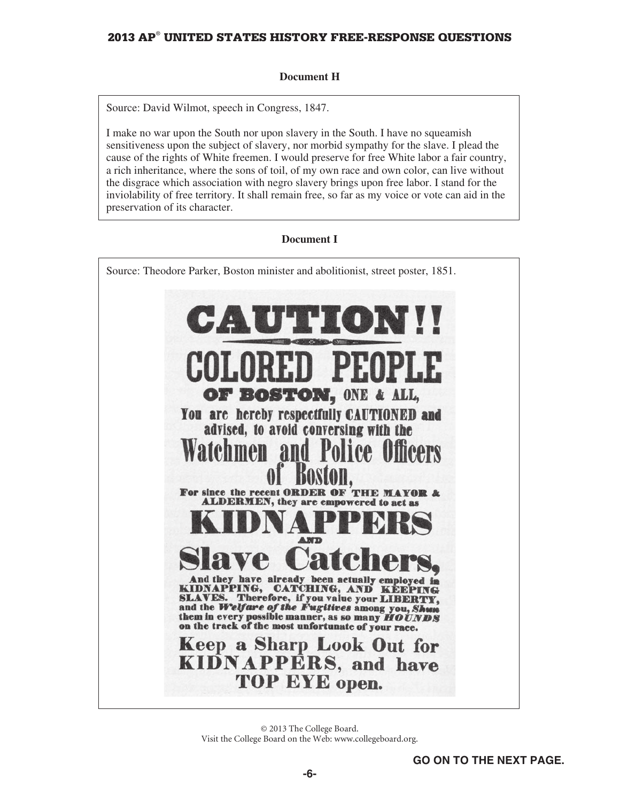## **Document H**

Source: David Wilmot, speech in Congress, 1847.

I make no war upon the South nor upon slavery in the South. I have no squeamish sensitiveness upon the subject of slavery, nor morbid sympathy for the slave. I plead the cause of the rights of White freemen. I would preserve for free White labor a fair country, a rich inheritance, where the sons of toil, of my own race and own color, can live without the disgrace which association with negro slavery brings upon free labor. I stand for the inviolability of free territory. It shall remain free, so far as my voice or vote can aid in the preservation of its character.

## **Document I**

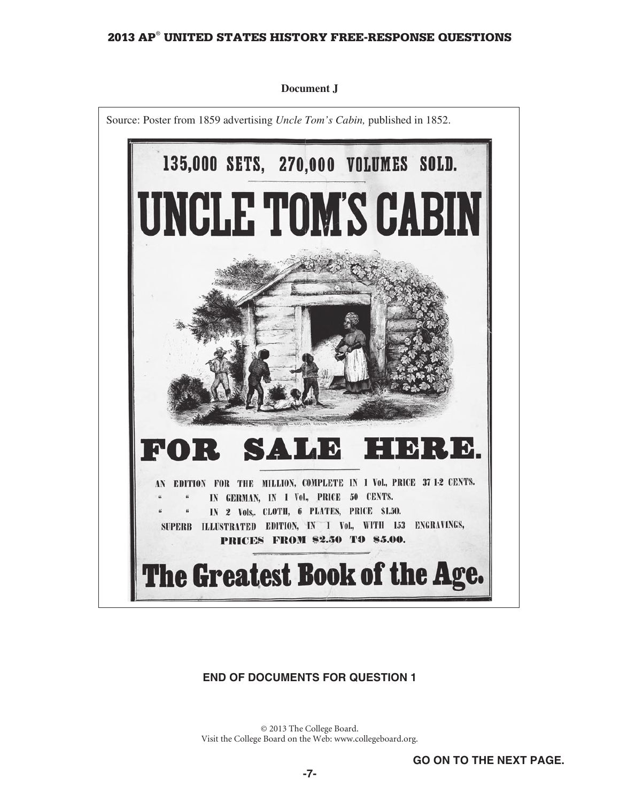

#### **Document J**

## **END OF DOCUMENTS FOR QUESTION 1**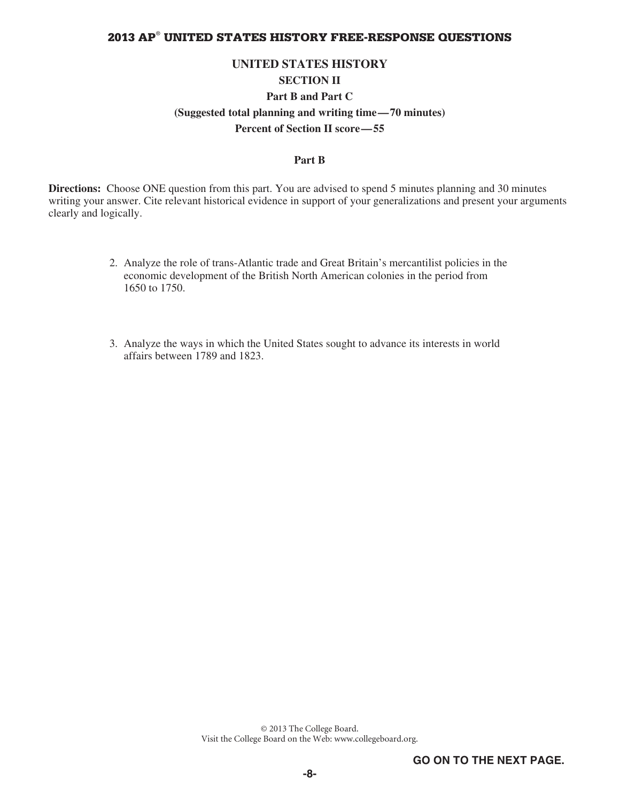#### **UNITED STATES HISTORY**

## **SECTION II**

### **Part B and Part C**

#### **(Suggested total planning and writing time—70 minutes)**

**Percent of Section II score—55** 

#### **Part B**

**Directions:** Choose ONE question from this part. You are advised to spend 5 minutes planning and 30 minutes writing your answer. Cite relevant historical evidence in support of your generalizations and present your arguments clearly and logically.

- 2. Analyze the role of trans-Atlantic trade and Great Britain's mercantilist policies in the economic development of the British North American colonies in the period from 1650 to 1750.
- 3. Analyze the ways in which the United States sought to advance its interests in world affairs between 1789 and 1823.